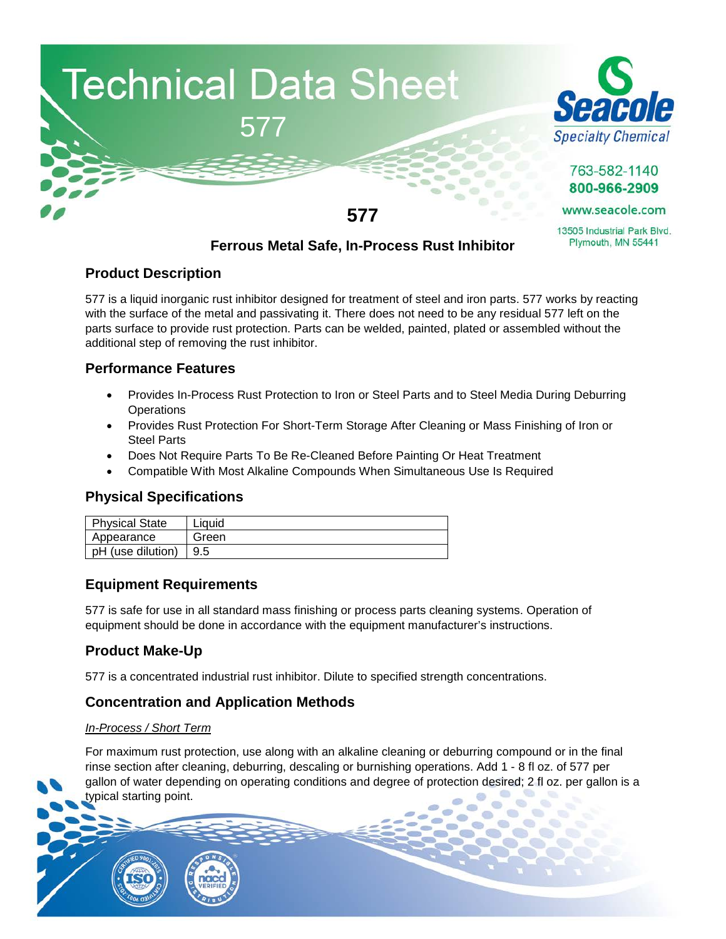



763-582-1140 800-966-2909

www.seacole.com

13505 Industrial Park Blvd. Plymouth, MN 55441

# **Ferrous Metal Safe, In-Process Rust Inhibitor**

# **Product Description**

577 is a liquid inorganic rust inhibitor designed for treatment of steel and iron parts. 577 works by reacting with the surface of the metal and passivating it. There does not need to be any residual 577 left on the parts surface to provide rust protection. Parts can be welded, painted, plated or assembled without the additional step of removing the rust inhibitor.

# **Performance Features**

- Provides In-Process Rust Protection to Iron or Steel Parts and to Steel Media During Deburring **Operations**
- Provides Rust Protection For Short-Term Storage After Cleaning or Mass Finishing of Iron or Steel Parts
- Does Not Require Parts To Be Re-Cleaned Before Painting Or Heat Treatment
- Compatible With Most Alkaline Compounds When Simultaneous Use Is Required

# **Physical Specifications**

| Physical State    | Liauid |
|-------------------|--------|
| Appearance        | Green  |
| pH (use dilution) |        |

### **Equipment Requirements**

577 is safe for use in all standard mass finishing or process parts cleaning systems. Operation of equipment should be done in accordance with the equipment manufacturer's instructions.

# **Product Make-Up**

577 is a concentrated industrial rust inhibitor. Dilute to specified strength concentrations.

### **Concentration and Application Methods**

#### *In-Process / Short Term*

For maximum rust protection, use along with an alkaline cleaning or deburring compound or in the final rinse section after cleaning, deburring, descaling or burnishing operations. Add 1 - 8 fl oz. of 577 per gallon of water depending on operating conditions and degree of protection desired; 2 fl oz. per gallon is a typical starting point.